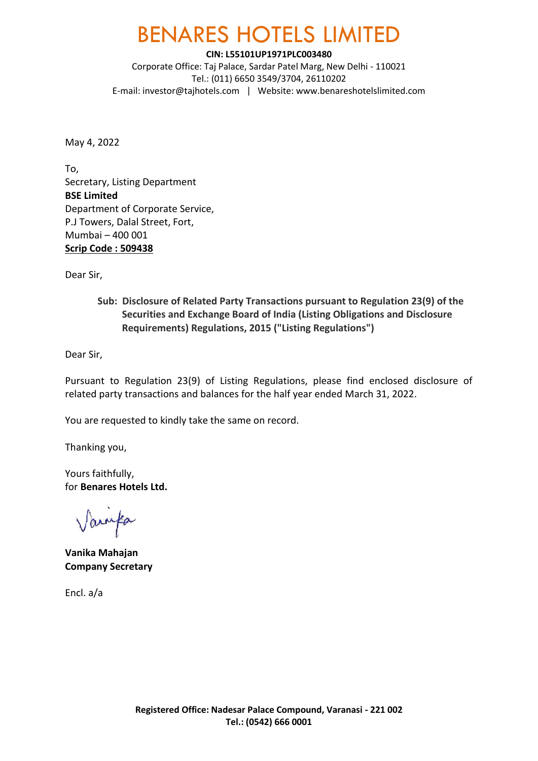## BENARES HOTELS LIMITED

**CIN: L55101UP1971PLC003480**

Corporate Office: Taj Palace, Sardar Patel Marg, New Delhi - 110021 Tel.: (011) 6650 3549/3704, 26110202 E-mail: [investor@tajhotels.com](mailto:investor@tajhotels.com) | Website[: www.benareshotelslimited.com](http://www.benareshotelslimited.com/)

May 4, 2022

To, Secretary, Listing Department **BSE Limited** Department of Corporate Service, P.J Towers, Dalal Street, Fort, Mumbai – 400 001 **Scrip Code : 509438** 

Dear Sir,

**Sub: Disclosure of Related Party Transactions pursuant to Regulation 23(9) of the Securities and Exchange Board of India (Listing Obligations and Disclosure Requirements) Regulations, 2015 ("Listing Regulations")**

Dear Sir,

Pursuant to Regulation 23(9) of Listing Regulations, please find enclosed disclosure of related party transactions and balances for the half year ended March 31, 2022.

You are requested to kindly take the same on record.

Thanking you,

Yours faithfully, for **Benares Hotels Ltd.**

Varufa

**Vanika Mahajan Company Secretary**

Encl. a/a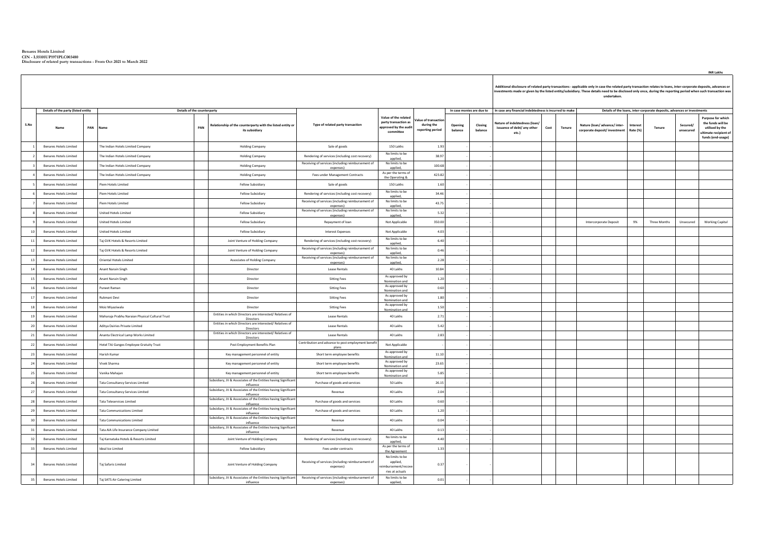**Benares Hotels Limited CIN - L55101UP1971PLC003480 Disclosure of related party transactions - From Oct 2021 to March 2022**

 $\Gamma$ 

|      |                                             |  |                                                 |                                    |                                                                              |                                                                |                                                                                   |                                                      |                    |                                                 | Additional disclosure of related party transactions - applicable only in case the related party transaction relates to loans, inter-corporate deposits, advances or<br>investments made or given by the listed entity/subsidiary. These details need to be disclosed only once, during the reporting period when such transaction was<br>undertaken. |      |        |                                                                      |          |                                                                                   |                       |                                                                                                                |  |
|------|---------------------------------------------|--|-------------------------------------------------|------------------------------------|------------------------------------------------------------------------------|----------------------------------------------------------------|-----------------------------------------------------------------------------------|------------------------------------------------------|--------------------|-------------------------------------------------|------------------------------------------------------------------------------------------------------------------------------------------------------------------------------------------------------------------------------------------------------------------------------------------------------------------------------------------------------|------|--------|----------------------------------------------------------------------|----------|-----------------------------------------------------------------------------------|-----------------------|----------------------------------------------------------------------------------------------------------------|--|
|      |                                             |  |                                                 |                                    |                                                                              |                                                                |                                                                                   |                                                      |                    |                                                 |                                                                                                                                                                                                                                                                                                                                                      |      |        |                                                                      |          |                                                                                   |                       |                                                                                                                |  |
| S.No | Details of the party (listed entity<br>Name |  | PAN Name                                        | Details of the counterparty<br>PAN | Relationship of the counterparty with the listed entity or<br>its subsidiary | Type of related party transaction                              | Value of the related<br>party transaction as<br>pproved by the audit<br>committee | alue of transactio<br>during the<br>reporting period | Opening<br>balance | In case monies are due to<br>Closing<br>halance | In case any financial indebtedness is incurred to make<br>Vature of indebtedness (loan/<br>issuance of debt/ any other<br>etc.)                                                                                                                                                                                                                      | Cost | Tenure | Nature (loan/advance/inter-<br>corporate deposit/investment Rate (%) | Interest | Details of the loans, inter-corporate deposits, advances or investments<br>Tenure | Secured/<br>unsecured | <b>Purpose for which</b><br>the funds will be<br>utilised by the<br>ultimate recipient of<br>funds (end-usage) |  |
|      | <b>Benares Hotels Limited</b>               |  | The Indian Hotels Limited Company               |                                    | <b>Holding Company</b>                                                       | Sale of goods                                                  | 150 Lakhs                                                                         | 1.93                                                 |                    |                                                 |                                                                                                                                                                                                                                                                                                                                                      |      |        |                                                                      |          |                                                                                   |                       |                                                                                                                |  |
|      | <b>Benares Hotels Limited</b>               |  | The Indian Hotels Limited Company               |                                    | <b>Holding Company</b>                                                       | Rendering of services (including cost recovery)                | No limits to be<br>applied,                                                       | 38.97                                                |                    |                                                 |                                                                                                                                                                                                                                                                                                                                                      |      |        |                                                                      |          |                                                                                   |                       |                                                                                                                |  |
|      | <b>Benares Hotels Limited</b>               |  | The Indian Hotels Limited Company               |                                    | <b>Holding Company</b>                                                       | Receiving of services (including reimbursement of<br>expenses) | No limits to be<br>applied,                                                       | 100.68                                               |                    |                                                 |                                                                                                                                                                                                                                                                                                                                                      |      |        |                                                                      |          |                                                                                   |                       |                                                                                                                |  |
|      | <b>Benares Hotels Limited</b>               |  | The Indian Hotels Limited Company               |                                    | <b>Holding Company</b>                                                       | Fees under Management Contracts                                | As per the terms of<br>the Operating &                                            | 423.82                                               |                    |                                                 |                                                                                                                                                                                                                                                                                                                                                      |      |        |                                                                      |          |                                                                                   |                       |                                                                                                                |  |
|      | <b>Benares Hotels Limited</b>               |  | Piem Hotels Limited                             |                                    | Fellow Subsidiary                                                            | Sale of goods                                                  | 150 Lakhs                                                                         | 1.60                                                 |                    |                                                 |                                                                                                                                                                                                                                                                                                                                                      |      |        |                                                                      |          |                                                                                   |                       |                                                                                                                |  |
|      | <b>Benares Hotels Limited</b>               |  | Piem Hotels Limited                             |                                    | <b>Fellow Subsidiary</b>                                                     | Rendering of services (including cost recovery)                | No limits to be<br>applied,                                                       | 34.46                                                |                    |                                                 |                                                                                                                                                                                                                                                                                                                                                      |      |        |                                                                      |          |                                                                                   |                       |                                                                                                                |  |
|      | <b>Benares Hotels Limited</b>               |  | Piem Hotels Limited                             |                                    | Fellow Subsidiary                                                            | Receiving of services (including reimbursement of<br>expenses) | No limits to be<br>applied,                                                       | 43.75                                                |                    |                                                 |                                                                                                                                                                                                                                                                                                                                                      |      |        |                                                                      |          |                                                                                   |                       |                                                                                                                |  |
|      | <b>Benares Hotels Limited</b>               |  | United Hotels Limited                           |                                    | Fellow Subsidiary                                                            | Receiving of services (including reimbursement of<br>expenses) | No limits to be<br>applied,                                                       | 5.32                                                 |                    |                                                 |                                                                                                                                                                                                                                                                                                                                                      |      |        |                                                                      |          |                                                                                   |                       |                                                                                                                |  |
|      | <b>Benares Hotels Limited</b>               |  | <b>United Hotels Limited</b>                    |                                    | <b>Fellow Subsidiary</b>                                                     | Repayment of loan                                              | Not Applicable                                                                    | 350.00                                               |                    |                                                 |                                                                                                                                                                                                                                                                                                                                                      |      |        | Intercorporate Deposit                                               | 9%       | Three Months                                                                      | Unsecured             | <b>Working Capital</b>                                                                                         |  |
|      | <b>Benares Hotels Limited</b>               |  | <b>Jnited Hotels Limited</b>                    |                                    | <b>Fellow Subsidiary</b>                                                     | <b>Interest Expenses</b>                                       | Not Applicable                                                                    | 4.03                                                 |                    |                                                 |                                                                                                                                                                                                                                                                                                                                                      |      |        |                                                                      |          |                                                                                   |                       |                                                                                                                |  |
| 11   | <b>Benares Hotels Limited</b>               |  | Taj GVK Hotels & Resorts Limited                |                                    | Joint Venture of Holding Company                                             | Rendering of services (including cost recovery)                | No limits to be<br>applied,                                                       | 6.40                                                 |                    |                                                 |                                                                                                                                                                                                                                                                                                                                                      |      |        |                                                                      |          |                                                                                   |                       |                                                                                                                |  |
| 12   | <b>Benares Hotels Limited</b>               |  | Taj GVK Hotels & Resorts Limited                |                                    | Joint Venture of Holding Company                                             | Receiving of services (including reimbursement of<br>expenses) | No limits to be<br>applied                                                        | 0.46                                                 |                    |                                                 |                                                                                                                                                                                                                                                                                                                                                      |      |        |                                                                      |          |                                                                                   |                       |                                                                                                                |  |
| 13   | <b>Benares Hotels Limited</b>               |  | Oriental Hotels Limited                         |                                    | Associates of Holding Company                                                | Receiving of services (including reimbursement of<br>expenses) | No limits to be<br>applied,                                                       | 2.28                                                 |                    |                                                 |                                                                                                                                                                                                                                                                                                                                                      |      |        |                                                                      |          |                                                                                   |                       |                                                                                                                |  |
| 14   | <b>Benares Hotels Limited</b>               |  | Anant Narain Singh                              |                                    | Director                                                                     | <b>Lease Rentals</b>                                           | 40 Lakhs                                                                          | 10.84                                                |                    |                                                 |                                                                                                                                                                                                                                                                                                                                                      |      |        |                                                                      |          |                                                                                   |                       |                                                                                                                |  |
| 15   | <b>Benares Hotels Limited</b>               |  | Anant Narain Singh                              |                                    | Director                                                                     | <b>Sitting Fees</b>                                            | As approved by<br>Nomination and                                                  | 1.20                                                 |                    |                                                 |                                                                                                                                                                                                                                                                                                                                                      |      |        |                                                                      |          |                                                                                   |                       |                                                                                                                |  |
| 16   | <b>Benares Hotels Limited</b>               |  | Puneet Raman                                    |                                    | Director                                                                     | <b>Sitting Fees</b>                                            | As approved by<br>Nomination and                                                  | 0.60                                                 |                    |                                                 |                                                                                                                                                                                                                                                                                                                                                      |      |        |                                                                      |          |                                                                                   |                       |                                                                                                                |  |
| 17   | <b>Benares Hotels Limited</b>               |  | Rukmani Devi                                    |                                    | Director                                                                     | <b>Sitting Fees</b>                                            | As approved by<br>Nomination and                                                  | 1.80                                                 |                    |                                                 |                                                                                                                                                                                                                                                                                                                                                      |      |        |                                                                      |          |                                                                                   |                       |                                                                                                                |  |
| 18   | <b>Benares Hotels Limited</b>               |  | Moiz Mivaziwala                                 |                                    | Director                                                                     | <b>Sitting Fees</b>                                            | As approved by<br>Nomination and                                                  | 1.50                                                 |                    |                                                 |                                                                                                                                                                                                                                                                                                                                                      |      |        |                                                                      |          |                                                                                   |                       |                                                                                                                |  |
| 19   | <b>Benares Hotels Limited</b>               |  | Maharaja Prabhu Naraian Physical Cultural Trust |                                    | Entities in which Directors are interested/ Relatives of<br>Directors        | <b>Lease Rentals</b>                                           | 40 Lakhs                                                                          | 2.71                                                 |                    |                                                 |                                                                                                                                                                                                                                                                                                                                                      |      |        |                                                                      |          |                                                                                   |                       |                                                                                                                |  |
| 20   | <b>Benares Hotels Limited</b>               |  | Aditya Dairies Private Limited                  |                                    | Entities in which Directors are interested/ Relatives of<br>Directors        | <b>Lease Rentals</b>                                           | 40 Lakhs                                                                          | 5.42                                                 |                    |                                                 |                                                                                                                                                                                                                                                                                                                                                      |      |        |                                                                      |          |                                                                                   |                       |                                                                                                                |  |
| 21   | <b>Benares Hotels Limited</b>               |  | Ananta Electrical Lamp Works Limited            |                                    | Entities in which Directors are interested/ Relatives of<br>Directors        | <b>Lease Rentals</b>                                           | 40 Lakhs                                                                          | 2.83                                                 |                    |                                                 |                                                                                                                                                                                                                                                                                                                                                      |      |        |                                                                      |          |                                                                                   |                       |                                                                                                                |  |
| 22   | <b>Benares Hotels Limited</b>               |  | Hotel TAJ Ganges Employee Gratuity Trust        |                                    | Post Employment Benefits Plan                                                | Contribution and advance to post employment benefit<br>plans   | Not Applicable                                                                    |                                                      |                    |                                                 |                                                                                                                                                                                                                                                                                                                                                      |      |        |                                                                      |          |                                                                                   |                       |                                                                                                                |  |
| 23   | <b>Benares Hotels Limited</b>               |  | Harish Kumar                                    |                                    | Key management personnel of entity                                           | Short term employee benefits                                   | As approved by<br>Nomination and                                                  | 11.10                                                |                    |                                                 |                                                                                                                                                                                                                                                                                                                                                      |      |        |                                                                      |          |                                                                                   |                       |                                                                                                                |  |
| 24   | <b>Benares Hotels Limited</b>               |  | Vivek Sharma                                    |                                    | Key management personnel of entity                                           | Short term employee benefits                                   | As approved by<br>Nomination and                                                  | 23.65                                                |                    |                                                 |                                                                                                                                                                                                                                                                                                                                                      |      |        |                                                                      |          |                                                                                   |                       |                                                                                                                |  |
| 25   | <b>Benares Hotels Limited</b>               |  | Vanika Mahajan                                  |                                    | Key management personnel of entity                                           | Short term employee benefits                                   | As approved by<br>Nomination and                                                  | 5.85                                                 |                    |                                                 |                                                                                                                                                                                                                                                                                                                                                      |      |        |                                                                      |          |                                                                                   |                       |                                                                                                                |  |
| 26   | <b>Benares Hotels Limited</b>               |  | <b>Tata Consultancy Services Limited</b>        |                                    | Subsidiary, JV & Associates of the Entities having Significant<br>influence  | Purchase of goods and services                                 | 50 Lakhs                                                                          | 26.15                                                |                    |                                                 |                                                                                                                                                                                                                                                                                                                                                      |      |        |                                                                      |          |                                                                                   |                       |                                                                                                                |  |
| 27   | <b>Benares Hotels Limited</b>               |  | <b>Tata Consultancy Services Limited</b>        |                                    | Subsidiary, JV & Associates of the Entities having Significant<br>influence  | Revenue                                                        | 40 Lakhs                                                                          | 2.04                                                 |                    |                                                 |                                                                                                                                                                                                                                                                                                                                                      |      |        |                                                                      |          |                                                                                   |                       |                                                                                                                |  |
| 28   | <b>Benares Hotels Limited</b>               |  | <b>Tata Teleservices Limited</b>                |                                    | Subsidiary, JV & Associates of the Entities having Significant<br>influence  | Purchase of goods and services                                 | 60 Lakhs                                                                          | 0.60                                                 |                    |                                                 |                                                                                                                                                                                                                                                                                                                                                      |      |        |                                                                      |          |                                                                                   |                       |                                                                                                                |  |
| 29   | <b>Benares Hotels Limited</b>               |  | Tata Communications Limited                     |                                    | Subsidiary, JV & Associates of the Entities having Significant<br>influence  | Purchase of goods and services                                 | 60 Lakhs                                                                          | 1.20                                                 |                    |                                                 |                                                                                                                                                                                                                                                                                                                                                      |      |        |                                                                      |          |                                                                                   |                       |                                                                                                                |  |
| 30   | <b>Benares Hotels Limited</b>               |  | <b>Tata Communications Limited</b>              |                                    | Subsidiary, JV & Associates of the Entities having Significant<br>influence  | Revenue                                                        | 40 Lakhs                                                                          | 0.04                                                 |                    |                                                 |                                                                                                                                                                                                                                                                                                                                                      |      |        |                                                                      |          |                                                                                   |                       |                                                                                                                |  |
| 31   | <b>Benares Hotels Limited</b>               |  | Tata AIA Life Insurance Company Limited         |                                    | Subsidiary, JV & Associates of the Entities having Significant<br>influence  | Revenue                                                        | 40 Lakhs                                                                          | 0.13                                                 |                    |                                                 |                                                                                                                                                                                                                                                                                                                                                      |      |        |                                                                      |          |                                                                                   |                       |                                                                                                                |  |
| 32   | <b>Benares Hotels Limited</b>               |  | Tai Karnataka Hotels & Resorts Limited          |                                    | Joint Venture of Holding Company                                             | Rendering of services (including cost recovery)                | No limits to be<br>applied,                                                       | 4.40                                                 |                    |                                                 |                                                                                                                                                                                                                                                                                                                                                      |      |        |                                                                      |          |                                                                                   |                       |                                                                                                                |  |
| 33   | <b>Benares Hotels Limited</b>               |  | Ideal Ice Limited                               |                                    | Fellow Subsidiary                                                            | Fees under contracts                                           | As per the terms of<br>the Agreement                                              | 1.33                                                 |                    |                                                 |                                                                                                                                                                                                                                                                                                                                                      |      |        |                                                                      |          |                                                                                   |                       |                                                                                                                |  |
|      |                                             |  |                                                 |                                    |                                                                              | Receiving of services (including reimbursement of              | No limits to be<br>applied.                                                       |                                                      |                    |                                                 |                                                                                                                                                                                                                                                                                                                                                      |      |        |                                                                      |          |                                                                                   |                       |                                                                                                                |  |
| 34   | <b>Benares Hotels Limited</b>               |  | Taj Safaris Limited                             |                                    | Joint Venture of Holding Company                                             | expenses)                                                      | mbursement/recov<br>ries at actuals                                               | 0.37                                                 |                    |                                                 |                                                                                                                                                                                                                                                                                                                                                      |      |        |                                                                      |          |                                                                                   |                       |                                                                                                                |  |
| 35   | <b>Benares Hotels Limited</b>               |  | Taj SATS Air Catering Limited                   |                                    | Subsidiary, JV & Associates of the Entities having Significant<br>influence  | Receiving of services (including reimbursement of<br>expenses) | No limits to be<br>applied.                                                       | 0.01                                                 |                    |                                                 |                                                                                                                                                                                                                                                                                                                                                      |      |        |                                                                      |          |                                                                                   |                       |                                                                                                                |  |

**INR Lakhs**